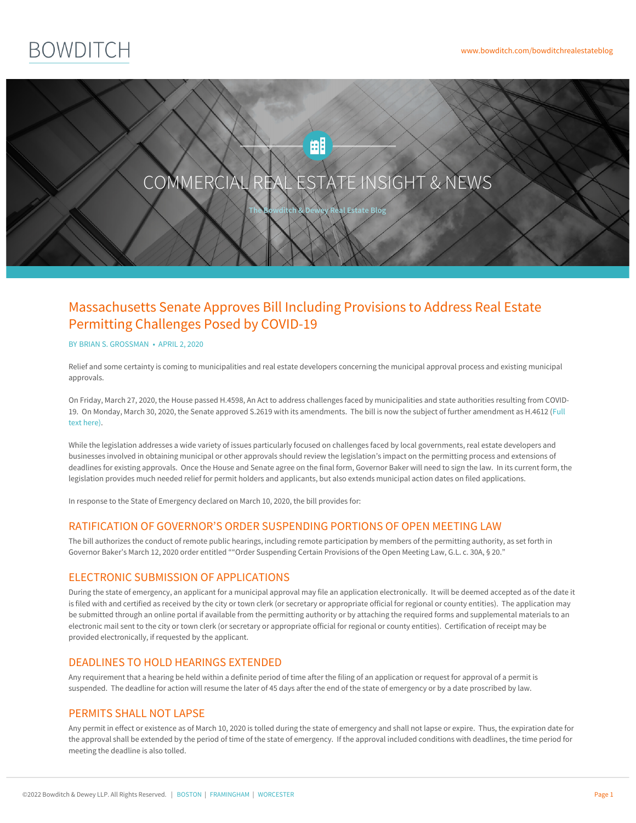



# Massachusetts Senate Approves Bill Including Provisions to Address Real Estate Permitting Challenges Posed by COVID-19

#### BY BRIAN S. [GROSSMAN](https://www.bowditch.com/attorney/brian-grossman) • APRIL 2, 2020

Relief and some certainty is coming to municipalities and real estate developers concerning the municipal approval process and existing municipal approvals.

On Friday, March 27, 2020, the House passed H.4598, An Act to address challenges faced by municipalities and state authorities resulting from COVID-19. On Monday, March 30, 2020, the Senate approved S.2619 with its [amendments.](https://www.bowditch.com/wp-content/uploads/2020/03/H4612.pdf) The bill is now the subject of further amendment as H.4612 (Full text here).

While the legislation addresses a wide variety of issues particularly focused on challenges faced by local governments, real estate developers and businesses involved in obtaining municipal or other approvals should review the legislation's impact on the permitting process and extensions of deadlines for existing approvals. Once the House and Senate agree on the final form, Governor Baker will need to sign the law. In its current form, the legislation provides much needed relief for permit holders and applicants, but also extends municipal action dates on filed applications.

In response to the State of Emergency declared on March 10, 2020, the bill provides for:

## RATIFICATION OF GOVERNOR'S ORDER SUSPENDING PORTIONS OF OPEN MEETING LAW

The bill authorizes the conduct of remote public hearings, including remote participation by members of the permitting authority, as set forth in Governor Baker's March 12, 2020 order entitled ""Order Suspending Certain Provisions of the Open Meeting Law, G.L. c. 30A, § 20."

## ELECTRONIC SUBMISSION OF APPLICATIONS

During the state of emergency, an applicant for a municipal approval may file an application electronically. It will be deemed accepted as of the date it is filed with and certified as received by the city or town clerk (or secretary or appropriate official for regional or county entities). The application may be submitted through an online portal if available from the permitting authority or by attaching the required forms and supplemental materials to an electronic mail sent to the city or town clerk (or secretary or appropriate official for regional or county entities). Certification of receipt may be provided electronically, if requested by the applicant.

# DEADLINES TO HOLD HEARINGS EXTENDED

Any requirement that a hearing be held within a definite period of time after the filing of an application or request for approval of a permit is suspended. The deadline for action will resume the later of 45 days after the end of the state of emergency or by a date proscribed by law.

## PERMITS SHALL NOT [LAPSE](https://www.bowditch.com/?p=174)

Any permit in effect or existence as of March 10, 2020 is tolled during the state of emergency and shall not lapse or expire. Thus, the expiration date for the approval shall be extended by the period of time of the state of emergency. If the approval included conditions with deadlines, the time period for meeting the deadline is also tolled.